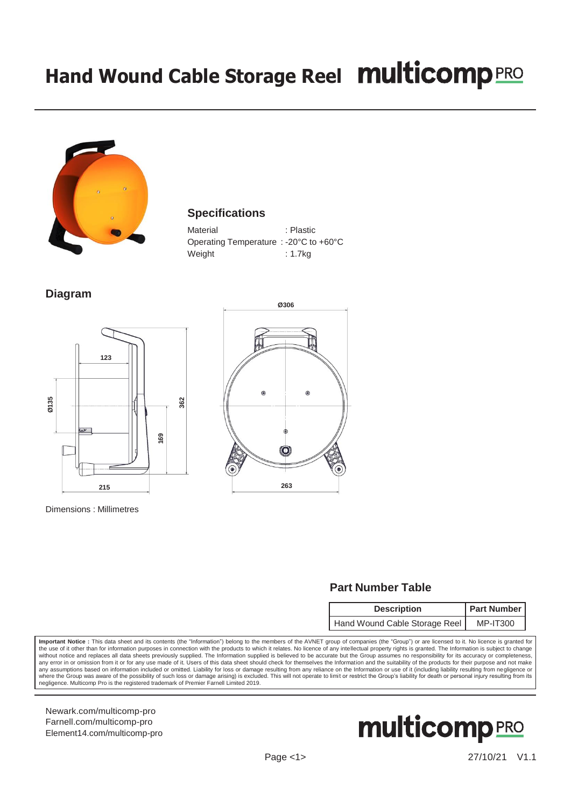# **Hand Wound Cable Storage Reel**



#### **Specifications**

| Material                               | : Plastic |
|----------------------------------------|-----------|
| Operating Temperature : -20°C to +60°C |           |
| Weight                                 | : 1.7kg   |

### **Diagram**





Dimensions : Millimetres

## **Part Number Table**

| <b>Description</b>            | <b>Part Number</b> |  |
|-------------------------------|--------------------|--|
| Hand Wound Cable Storage Reel | <b>MP-IT300</b>    |  |

**Important Notice :** This data sheet and its contents (the "Information") belong to the members of the AVNET group of companies (the "Group") or are licensed to it. No licence is granted for<br>the use of it other than for in any error in or omission from it or for any use made of it. Users of this data sheet should check for themselves the Information and the suitability of the products for their purpose and not make any assumptions based on information included or omitted. Liability for loss or damage resulting from any reliance on the Information or use of it (including liability resulting from negligence or<br>where the Group was aware negligence. Multicomp Pro is the registered trademark of Premier Farnell Limited 2019.

[Newark.com/multicomp-](https://www.newark.com/multicomp-pro)pro [Farnell.com/multicomp-](https://www.farnell.com/multicomp-pro)pro [Element14.com/multicomp-pro](https://element14.com/multicomp-pro)